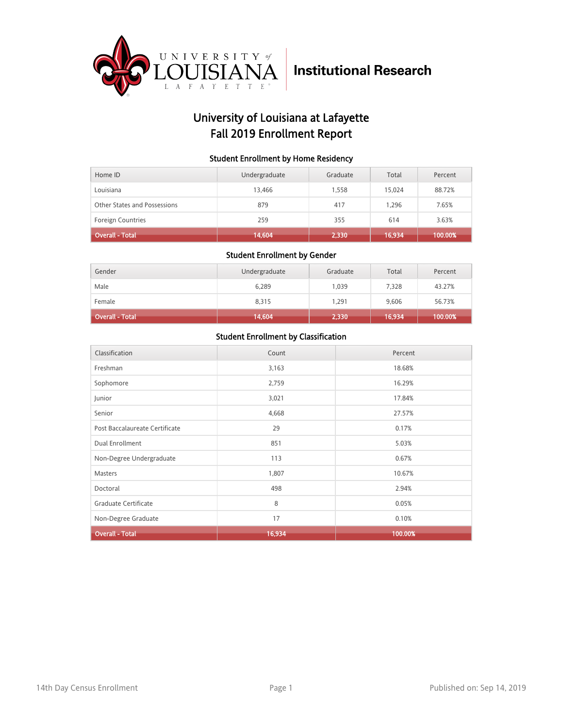

## University of Louisiana at Lafayette Fall 2019 Enrollment Report

### Student Enrollment by Home Residency

| Home ID                      | Undergraduate | Graduate | Total  | Percent |
|------------------------------|---------------|----------|--------|---------|
| Louisiana                    | 13.466        | 1.558    | 15.024 | 88.72%  |
| Other States and Possessions | 879           | 417      | 1.296  | 7.65%   |
| <b>Foreign Countries</b>     | 259           | 355      | 614    | 3.63%   |
| <b>Overall - Total</b>       | 14,604        | 2,330    | 16,934 | 100.00% |

### Student Enrollment by Gender

| Gender          | Undergraduate | Graduate | Total  | Percent |
|-----------------|---------------|----------|--------|---------|
| Male            | 6,289         | 1,039    | 7,328  | 43.27%  |
| Female          | 8,315         | 1.291    | 9,606  | 56.73%  |
| Overall - Total | 14,604        | 2,330    | 16,934 | 100.00% |

| Classification                 | Count  | Percent |
|--------------------------------|--------|---------|
| Freshman                       | 3,163  | 18.68%  |
| Sophomore                      | 2,759  | 16.29%  |
| Junior                         | 3,021  | 17.84%  |
| Senior                         | 4,668  | 27.57%  |
| Post Baccalaureate Certificate | 29     | 0.17%   |
| Dual Enrollment                | 851    | 5.03%   |
| Non-Degree Undergraduate       | 113    | 0.67%   |
| Masters                        | 1,807  | 10.67%  |
| Doctoral                       | 498    | 2.94%   |
| Graduate Certificate           | 8      | 0.05%   |
| Non-Degree Graduate            | 17     | 0.10%   |
| <b>Overall - Total</b>         | 16,934 | 100.00% |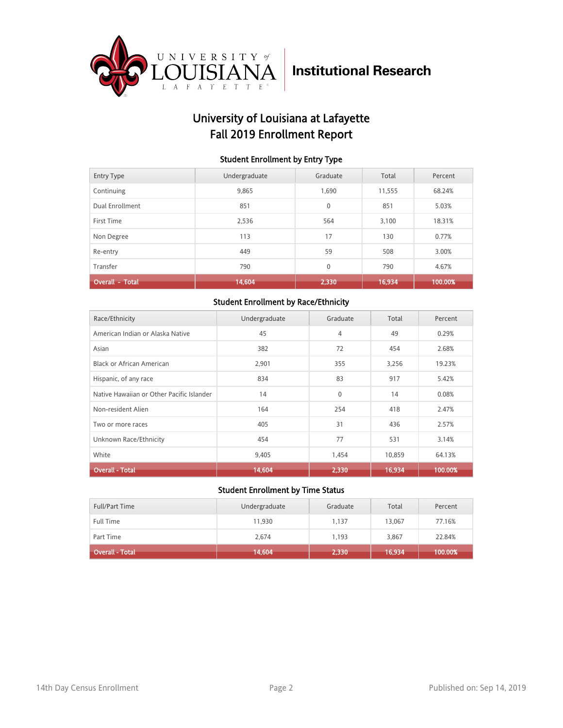

## University of Louisiana at Lafayette Fall 2019 Enrollment Report

### Student Enrollment by Entry Type

| <b>Entry Type</b>      | Undergraduate | Graduate     | Total  | Percent |
|------------------------|---------------|--------------|--------|---------|
| Continuing             | 9,865         | 1,690        | 11,555 | 68.24%  |
| Dual Enrollment        | 851           | $\mathbf{0}$ | 851    | 5.03%   |
| First Time             | 2.536         | 564          | 3.100  | 18.31%  |
| Non Degree             | 113           | 17           | 130    | 0.77%   |
| Re-entry               | 449           | 59           | 508    | 3.00%   |
| Transfer               | 790           | $\mathbf{0}$ | 790    | 4.67%   |
| <b>Overall - Total</b> | 14,604        | 2,330        | 16,934 | 100.00% |

### Student Enrollment by Race/Ethnicity

| Race/Ethnicity                            | Undergraduate | Graduate     | Total  | Percent |
|-------------------------------------------|---------------|--------------|--------|---------|
| American Indian or Alaska Native          | 45            | 4            | 49     | 0.29%   |
| Asian                                     | 382           | 72           | 454    | 2.68%   |
| Black or African American                 | 2,901         | 355          | 3,256  | 19.23%  |
| Hispanic, of any race                     | 834           | 83           | 917    | 5.42%   |
| Native Hawaiian or Other Pacific Islander | 14            | $\mathbf{0}$ | 14     | 0.08%   |
| Non-resident Alien                        | 164           | 254          | 418    | 2.47%   |
| Two or more races                         | 405           | 31           | 436    | 2.57%   |
| Unknown Race/Ethnicity                    | 454           | 77           | 531    | 3.14%   |
| White                                     | 9,405         | 1,454        | 10,859 | 64.13%  |
| <b>Overall - Total</b>                    | 14,604        | 2,330        | 16,934 | 100.00% |

| <b>Full/Part Time</b> | Undergraduate | Graduate | Total  | Percent |
|-----------------------|---------------|----------|--------|---------|
| <b>Full Time</b>      | 11,930        | 1.137    | 13,067 | 77.16%  |
| Part Time             | 2,674         | 1.193    | 3,867  | 22.84%  |
| Overall - Total       | (14, 604)     | 2,330    | 16,934 | 100.00% |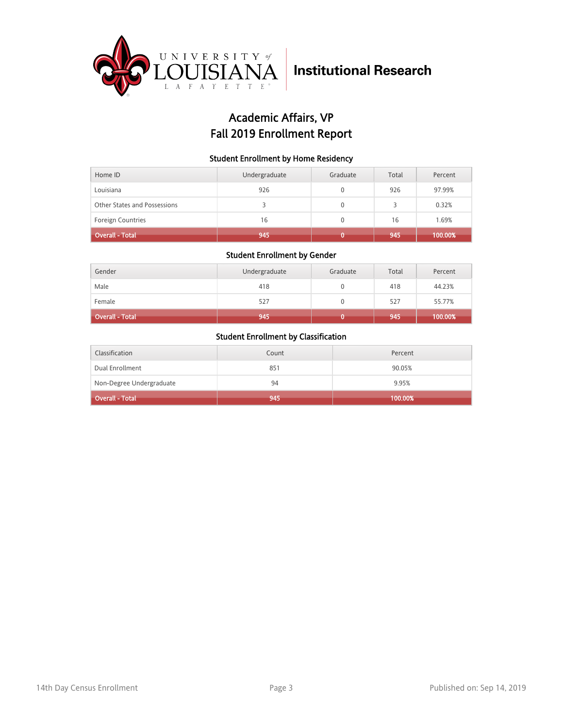

## Academic Affairs, VP Fall 2019 Enrollment Report

### Student Enrollment by Home Residency

| Home ID                      | Undergraduate | Graduate | Total | Percent |
|------------------------------|---------------|----------|-------|---------|
| Louisiana                    | 926           |          | 926   | 97.99%  |
| Other States and Possessions |               | 0        | 3     | 0.32%   |
| <b>Foreign Countries</b>     | 16            |          | 16    | 1.69%   |
| <b>Overall - Total</b>       | 945           |          | 945   | 100.00% |

### Student Enrollment by Gender

| Gender                 | Undergraduate | Graduate | Total | Percent |
|------------------------|---------------|----------|-------|---------|
| Male                   | 418           |          | 418   | 44.23%  |
| Female                 | 527           |          | 527   | 55.77%  |
| <b>Overall - Total</b> | 945           |          | 945   | 100.00% |

| Classification           | Count | Percent    |
|--------------------------|-------|------------|
| Dual Enrollment          | 851   | 90.05%     |
| Non-Degree Undergraduate | 94    | 9.95%      |
| <b>Overall - Total</b>   | 945   | $100.00\%$ |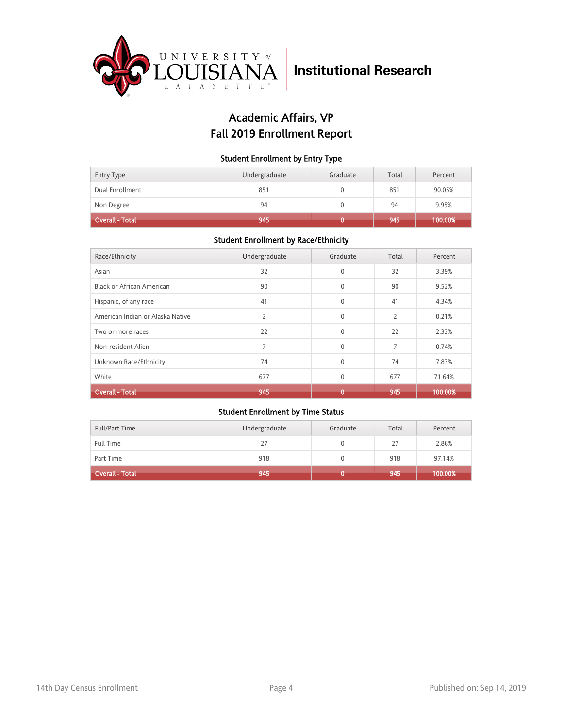

## Academic Affairs, VP Fall 2019 Enrollment Report

### Student Enrollment by Entry Type

| Entry Type             | Undergraduate | Graduate | Total | Percent |
|------------------------|---------------|----------|-------|---------|
| Dual Enrollment        | 851           |          | 851   | 90.05%  |
| Non Degree             | 94            |          | 94    | 9.95%   |
| <b>Overall - Total</b> | 945           |          | 945   | 100.00% |

### Student Enrollment by Race/Ethnicity

| Race/Ethnicity                   | Undergraduate  | Graduate     | Total | Percent |
|----------------------------------|----------------|--------------|-------|---------|
| Asian                            | 32             | $\mathbf{0}$ | 32    | 3.39%   |
| Black or African American        | 90             | $\Omega$     | 90    | 9.52%   |
| Hispanic, of any race            | 41             | $\Omega$     | 41    | 4.34%   |
| American Indian or Alaska Native | $\overline{2}$ | $\mathbf{0}$ | 2     | 0.21%   |
| Two or more races                | 22             | $\Omega$     | 22    | 2.33%   |
| Non-resident Alien               | 7              | $\Omega$     | 7     | 0.74%   |
| Unknown Race/Ethnicity           | 74             | $\Omega$     | 74    | 7.83%   |
| White                            | 677            | $\mathbf{0}$ | 677   | 71.64%  |
| <b>Overall - Total</b>           | 945            | 0            | 945   | 100.00% |

| <b>Full/Part Time</b> | Undergraduate | Graduate | Total | Percent |
|-----------------------|---------------|----------|-------|---------|
| <b>Full Time</b>      | 27            |          | 27    | 2.86%   |
| Part Time             | 918           |          | 918   | 97.14%  |
| Overall - Total       | 945           |          | 945   | 100.00% |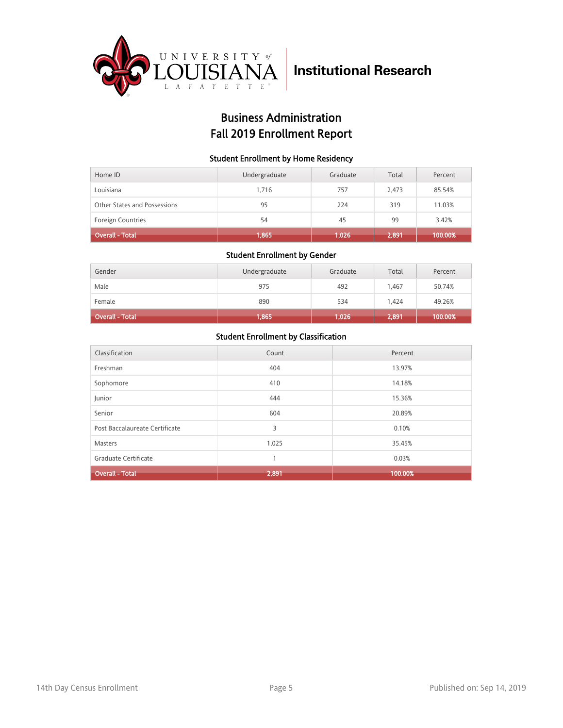

## Business Administration Fall 2019 Enrollment Report

### Student Enrollment by Home Residency

| Home ID                      | Undergraduate | Graduate | Total | Percent |
|------------------------------|---------------|----------|-------|---------|
| Louisiana                    | 1.716         | 757      | 2.473 | 85.54%  |
| Other States and Possessions | 95            | 224      | 319   | 11.03%  |
| <b>Foreign Countries</b>     | 54            | 45       | 99    | 3.42%   |
| <b>Overall - Total</b>       | 1,865         | 1,026    | 2,891 | 100.00% |

#### Student Enrollment by Gender

| Gender                 | Undergraduate | Graduate | Total | Percent |
|------------------------|---------------|----------|-------|---------|
| Male                   | 975           | 492      | 1.467 | 50.74%  |
| Female                 | 890           | 534      | 1.424 | 49.26%  |
| <b>Overall - Total</b> | 1,865         | 1,026    | 2,891 | 100.00% |

| Classification                 | Count | Percent |
|--------------------------------|-------|---------|
| Freshman                       | 404   | 13.97%  |
| Sophomore                      | 410   | 14.18%  |
| Junior                         | 444   | 15.36%  |
| Senior                         | 604   | 20.89%  |
| Post Baccalaureate Certificate | 3     | 0.10%   |
| Masters                        | 1,025 | 35.45%  |
| Graduate Certificate           | 1     | 0.03%   |
| <b>Overall - Total</b>         | 2,891 | 100.00% |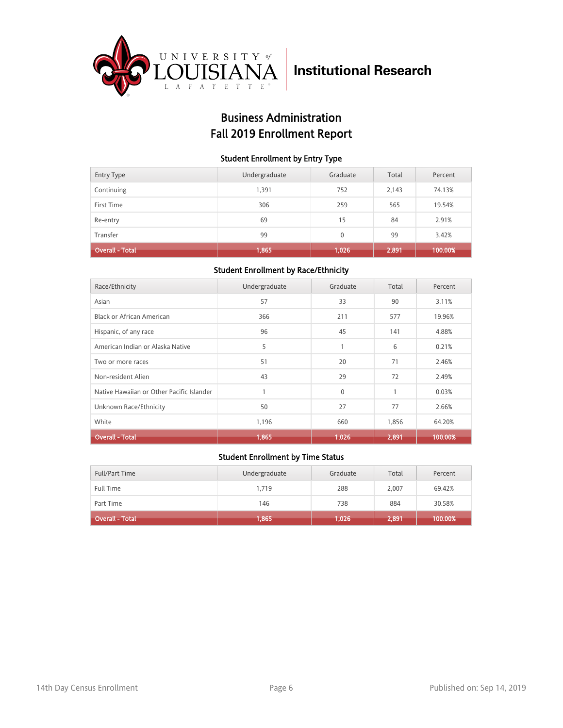

## Business Administration Fall 2019 Enrollment Report

### Student Enrollment by Entry Type

| <b>Entry Type</b>      | Undergraduate | Graduate | Total | Percent |
|------------------------|---------------|----------|-------|---------|
| Continuing             | 1,391         | 752      | 2,143 | 74.13%  |
| First Time             | 306           | 259      | 565   | 19.54%  |
| Re-entry               | 69            | 15       | 84    | 2.91%   |
| Transfer               | 99            | $\Omega$ | 99    | 3.42%   |
| <b>Overall - Total</b> | 1,865         | 1,026    | 2,891 | 100.00% |

### Student Enrollment by Race/Ethnicity

| Race/Ethnicity                            | Undergraduate | Graduate | Total | Percent |
|-------------------------------------------|---------------|----------|-------|---------|
| Asian                                     | 57            | 33       | 90    | 3.11%   |
| Black or African American                 | 366           | 211      | 577   | 19.96%  |
| Hispanic, of any race                     | 96            | 45       | 141   | 4.88%   |
| American Indian or Alaska Native          | 5             | 1        | 6     | 0.21%   |
| Two or more races                         | 51            | 20       | 71    | 2.46%   |
| Non-resident Alien                        | 43            | 29       | 72    | 2.49%   |
| Native Hawaiian or Other Pacific Islander |               | $\Omega$ | 1     | 0.03%   |
| Unknown Race/Ethnicity                    | 50            | 27       | 77    | 2.66%   |
| White                                     | 1,196         | 660      | 1,856 | 64.20%  |
| <b>Overall - Total</b>                    | 1,865         | 1,026    | 2,891 | 100.00% |

| <b>Full/Part Time</b>  | Undergraduate | Graduate | Total | Percent |
|------------------------|---------------|----------|-------|---------|
| <b>Full Time</b>       | 1.719         | 288      | 2.007 | 69.42%  |
| Part Time              | 146           | 738      | 884   | 30.58%  |
| <b>Overall - Total</b> | 1,865         | 1,026    | 2,891 | 100.00% |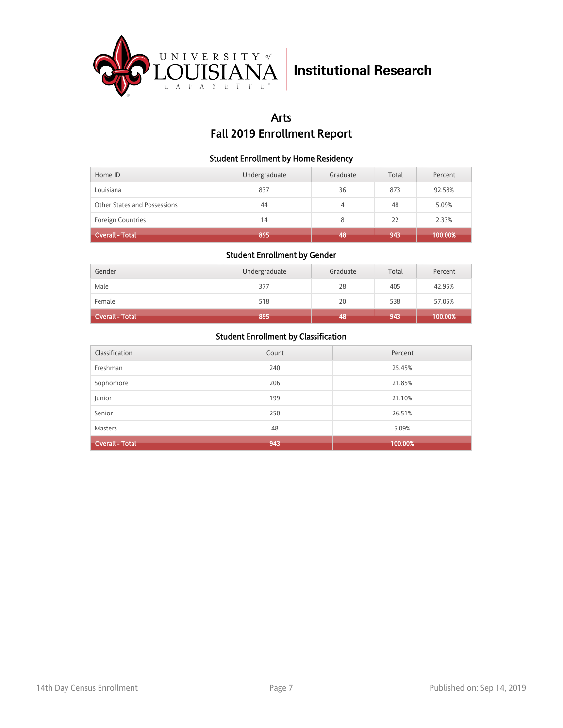

## Arts Fall 2019 Enrollment Report

### Student Enrollment by Home Residency

| Home ID                      | Undergraduate | Graduate | Total | Percent |
|------------------------------|---------------|----------|-------|---------|
| Louisiana                    | 837           | 36       | 873   | 92.58%  |
| Other States and Possessions | 44            | 4        | 48    | 5.09%   |
| <b>Foreign Countries</b>     | 14            | 8        | 22    | 2.33%   |
| <b>Overall - Total</b>       | 895           | 48       | 943   | 100.00% |

### Student Enrollment by Gender

| Gender                 | Undergraduate | Graduate | Total | Percent |
|------------------------|---------------|----------|-------|---------|
| Male                   | 377           | 28       | 405   | 42.95%  |
| Female                 | 518           | 20       | 538   | 57.05%  |
| <b>Overall - Total</b> | 895           | 48       | 943   | 100.00% |

| Classification         | Count | Percent |
|------------------------|-------|---------|
| Freshman               | 240   | 25.45%  |
| Sophomore              | 206   | 21.85%  |
| Junior                 | 199   | 21.10%  |
| Senior                 | 250   | 26.51%  |
| <b>Masters</b>         | 48    | 5.09%   |
| <b>Overall - Total</b> | 943   | 100.00% |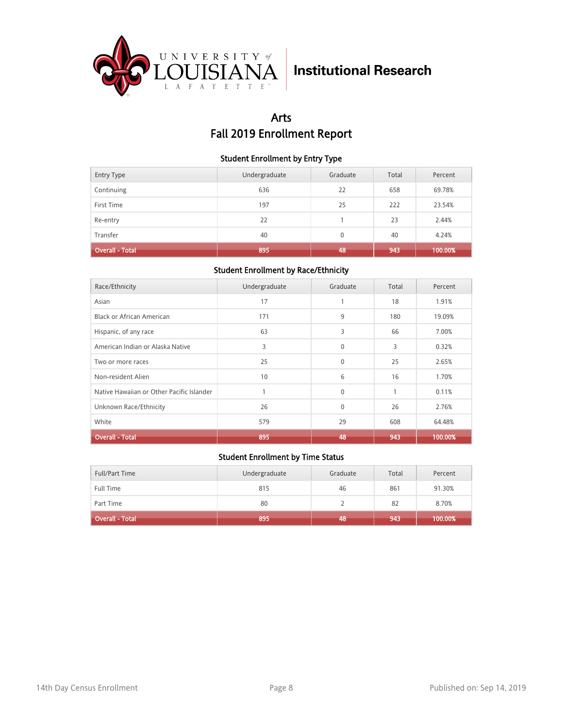

## Arts Fall 2019 Enrollment Report

### Student Enrollment by Entry Type

| <b>Entry Type</b>      | Undergraduate | Graduate | Total | Percent |
|------------------------|---------------|----------|-------|---------|
| Continuing             | 636           | 22       | 658   | 69.78%  |
| First Time             | 197           | 25       | 222   | 23.54%  |
| Re-entry               | 22            |          | 23    | 2.44%   |
| Transfer               | 40            | $\Omega$ | 40    | 4.24%   |
| <b>Overall - Total</b> | 895           | 48       | 943   | 100.00% |

### Student Enrollment by Race/Ethnicity

| Race/Ethnicity                            | Undergraduate | Graduate | Total | Percent |
|-------------------------------------------|---------------|----------|-------|---------|
| Asian                                     | 17            |          | 18    | 1.91%   |
| Black or African American                 | 171           | 9        | 180   | 19.09%  |
| Hispanic, of any race                     | 63            | 3        | 66    | 7.00%   |
| American Indian or Alaska Native          | 3             | $\Omega$ | 3     | 0.32%   |
| Two or more races                         | 25            | $\Omega$ | 25    | 2.65%   |
| Non-resident Alien                        | 10            | 6        | 16    | 1.70%   |
| Native Hawaiian or Other Pacific Islander |               | $\Omega$ | 1     | 0.11%   |
| Unknown Race/Ethnicity                    | 26            | $\Omega$ | 26    | 2.76%   |
| White                                     | 579           | 29       | 608   | 64.48%  |
| <b>Overall - Total</b>                    | 895           | 48       | 943   | 100.00% |

| Full/Part Time    | Undergraduate | Graduate | Total | Percent |
|-------------------|---------------|----------|-------|---------|
| Full Time         | 815           | 46       | 861   | 91.30%  |
| Part Time         | 80            |          | 82    | 8.70%   |
| Overall - Total 1 | 895           | 48       | 943   | 100.00% |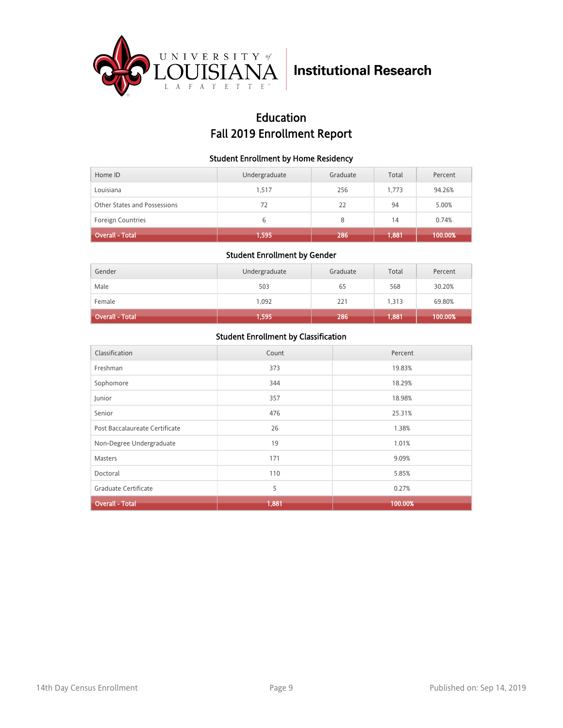

## Education Fall 2019 Enrollment Report

### Student Enrollment by Home Residency

| Home ID                      | Undergraduate | Graduate | Total | Percent |
|------------------------------|---------------|----------|-------|---------|
| Louisiana                    | 1.517         | 256      | 1.773 | 94.26%  |
| Other States and Possessions | 72            | 22       | 94    | 5.00%   |
| <b>Foreign Countries</b>     | 6             | 8        | 14    | 0.74%   |
| <b>Overall - Total</b>       | 1,595         | 286      | 1,881 | 100.00% |

### Student Enrollment by Gender

| Gender                 | Undergraduate | Graduate | Total | Percent |
|------------------------|---------------|----------|-------|---------|
| Male                   | 503           | 65       | 568   | 30.20%  |
| Female                 | 1,092         | 221      | 1,313 | 69.80%  |
| <b>Overall - Total</b> | 1,595         | 286      | 1,881 | 100.00% |

| Classification                 | Count | Percent |
|--------------------------------|-------|---------|
| Freshman                       | 373   | 19.83%  |
| Sophomore                      | 344   | 18.29%  |
| Junior                         | 357   | 18.98%  |
| Senior                         | 476   | 25.31%  |
| Post Baccalaureate Certificate | 26    | 1.38%   |
| Non-Degree Undergraduate       | 19    | 1.01%   |
| <b>Masters</b>                 | 171   | 9.09%   |
| Doctoral                       | 110   | 5.85%   |
| Graduate Certificate           | 5     | 0.27%   |
| <b>Overall - Total</b>         | 1,881 | 100.00% |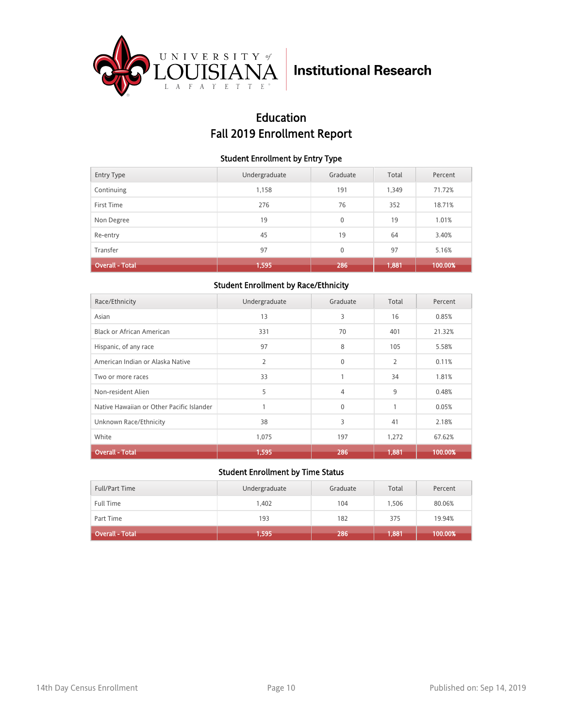

## Education Fall 2019 Enrollment Report

### Student Enrollment by Entry Type

| <b>Entry Type</b>      | Undergraduate | Graduate     | Total | Percent |
|------------------------|---------------|--------------|-------|---------|
| Continuing             | 1,158         | 191          | 1,349 | 71.72%  |
| First Time             | 276           | 76           | 352   | 18.71%  |
| Non Degree             | 19            | $\mathbf{0}$ | 19    | 1.01%   |
| Re-entry               | 45            | 19           | 64    | 3.40%   |
| Transfer               | 97            | $\mathbf{0}$ | 97    | 5.16%   |
| <b>Overall - Total</b> | 1,595         | 286          | 1,881 | 100.00% |

### Student Enrollment by Race/Ethnicity

| Race/Ethnicity                            | Undergraduate | Graduate     | Total          | Percent |
|-------------------------------------------|---------------|--------------|----------------|---------|
| Asian                                     | 13            | 3            | 16             | 0.85%   |
| Black or African American                 | 331           | 70           | 401            | 21.32%  |
| Hispanic, of any race                     | 97            | 8            | 105            | 5.58%   |
| American Indian or Alaska Native          | 2             | $\mathbf{0}$ | $\overline{2}$ | 0.11%   |
| Two or more races                         | 33            |              | 34             | 1.81%   |
| Non-resident Alien                        | 5             | 4            | 9              | 0.48%   |
| Native Hawaiian or Other Pacific Islander | 1             | $\mathbf{0}$ | $\mathbf{1}$   | 0.05%   |
| Unknown Race/Ethnicity                    | 38            | 3            | 41             | 2.18%   |
| White                                     | 1,075         | 197          | 1,272          | 67.62%  |
| <b>Overall - Total</b>                    | 1,595         | 286          | 1,881          | 100.00% |

| <b>Full/Part Time</b>  | Undergraduate | Graduate | Total | Percent |
|------------------------|---------------|----------|-------|---------|
| <b>Full Time</b>       | 1.402         | 104      | .506  | 80.06%  |
| Part Time              | 193           | 182      | 375   | 19.94%  |
| <b>Overall - Total</b> | 1,595         | 286      | 1,881 | 100.00% |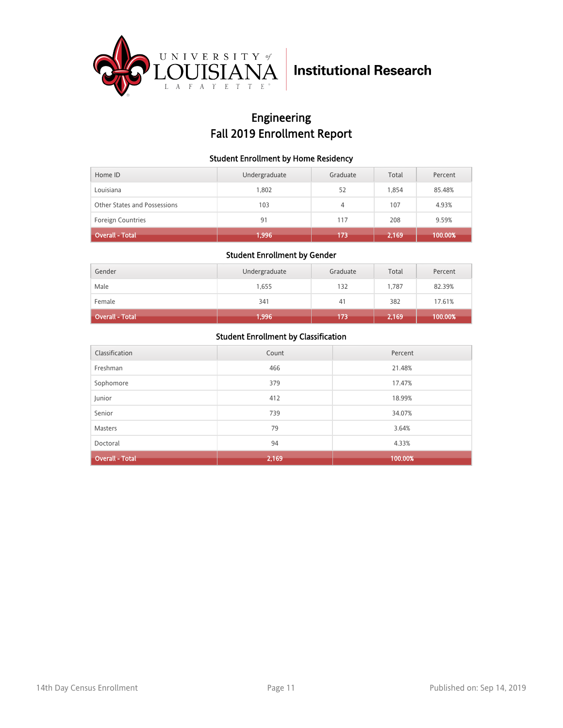

## Engineering Fall 2019 Enrollment Report

### Student Enrollment by Home Residency

| Home ID                      | Undergraduate | Graduate | Total | Percent |
|------------------------------|---------------|----------|-------|---------|
| Louisiana                    | 1.802         | 52       | 1.854 | 85.48%  |
| Other States and Possessions | 103           | 4        | 107   | 4.93%   |
| <b>Foreign Countries</b>     | 91            | 117      | 208   | 9.59%   |
| <b>Overall - Total</b>       | 1,996         | 173      | 2,169 | 100.00% |

### Student Enrollment by Gender

| Gender                 | Undergraduate | Graduate | Total | Percent |
|------------------------|---------------|----------|-------|---------|
| Male                   | 1,655         | 132      | 1.787 | 82.39%  |
| Female                 | 341           | 41       | 382   | 17.61%  |
| <b>Overall - Total</b> | 1,996         | 173      | 2,169 | 100.00% |

| Classification         | Count | Percent |
|------------------------|-------|---------|
| Freshman               | 466   | 21.48%  |
| Sophomore              | 379   | 17.47%  |
| Junior                 | 412   | 18.99%  |
| Senior                 | 739   | 34.07%  |
| <b>Masters</b>         | 79    | 3.64%   |
| Doctoral               | 94    | 4.33%   |
| <b>Overall - Total</b> | 2,169 | 100.00% |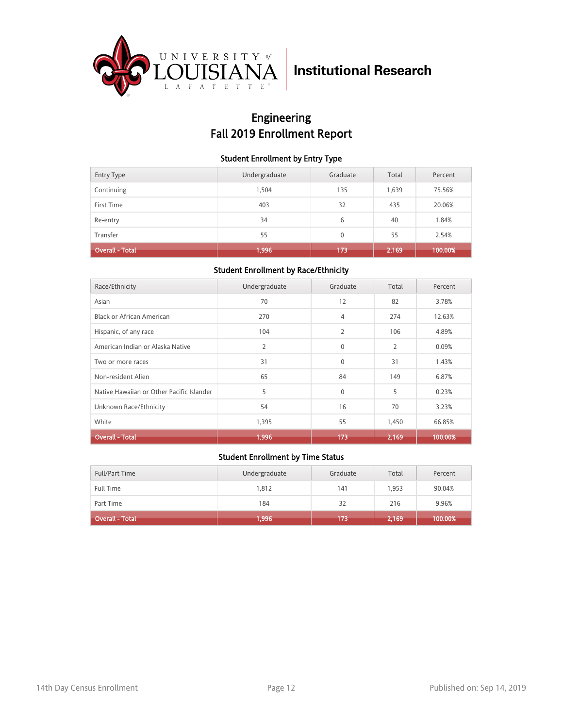

## Engineering Fall 2019 Enrollment Report

### Student Enrollment by Entry Type

| <b>Entry Type</b>      | Undergraduate | Graduate | Total | Percent |
|------------------------|---------------|----------|-------|---------|
| Continuing             | 1.504         | 135      | 1,639 | 75.56%  |
| First Time             | 403           | 32       | 435   | 20.06%  |
| Re-entry               | 34            | 6        | 40    | 1.84%   |
| Transfer               | 55            | $\Omega$ | 55    | 2.54%   |
| <b>Overall - Total</b> | 1,996         | 173      | 2,169 | 100.00% |

### Student Enrollment by Race/Ethnicity

| Race/Ethnicity                            | Undergraduate | Graduate     | Total          | Percent |
|-------------------------------------------|---------------|--------------|----------------|---------|
| Asian                                     | 70            | 12           | 82             | 3.78%   |
| Black or African American                 | 270           | 4            | 274            | 12.63%  |
| Hispanic, of any race                     | 104           | 2            | 106            | 4.89%   |
| American Indian or Alaska Native          | 2             | $\Omega$     | $\overline{2}$ | 0.09%   |
| Two or more races                         | 31            | $\mathbf{0}$ | 31             | 1.43%   |
| Non-resident Alien                        | 65            | 84           | 149            | 6.87%   |
| Native Hawaiian or Other Pacific Islander | 5             | $\mathbf{0}$ | 5              | 0.23%   |
| Unknown Race/Ethnicity                    | 54            | 16           | 70             | 3.23%   |
| White                                     | 1,395         | 55           | 1,450          | 66.85%  |
| <b>Overall - Total</b>                    | 1,996         | 173          | 2,169          | 100.00% |

| Full/Part Time               | Undergraduate | Graduate | Total | Percent |
|------------------------------|---------------|----------|-------|---------|
| <b>Full Time</b>             | 1.812         | 141      | 1.953 | 90.04%  |
| Part Time                    | 184           | 32       | 216   | 9.96%   |
| Overall - Total <sup>1</sup> | 1,996         | 173      | 2,169 | 100.00% |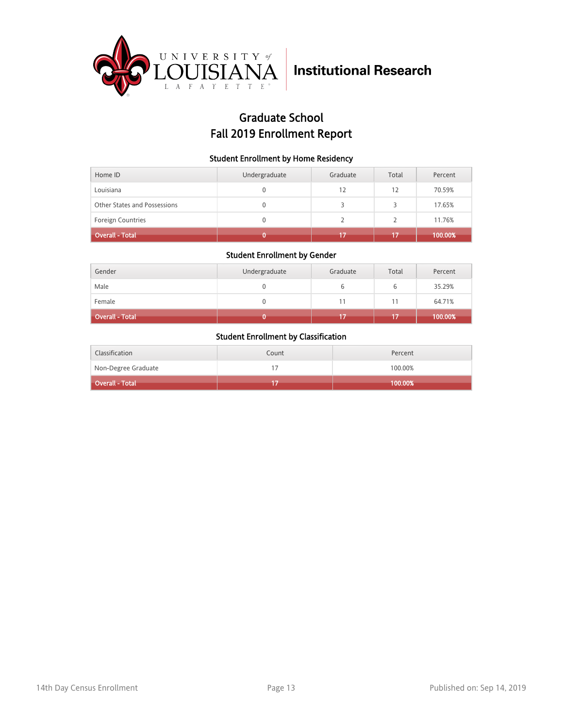

## Graduate School Fall 2019 Enrollment Report

### Student Enrollment by Home Residency

| Home ID                      | Undergraduate | Graduate | Total | Percent |
|------------------------------|---------------|----------|-------|---------|
| Louisiana                    | 0             | 12       | 12    | 70.59%  |
| Other States and Possessions | 0             |          | 5     | 17.65%  |
| Foreign Countries            | 0             |          |       | 11.76%  |
| Overall - Total              |               | 17       | 17    | 100.00% |

#### Student Enrollment by Gender

| Gender          | Undergraduate | Graduate | Total | Percent |
|-----------------|---------------|----------|-------|---------|
| Male            |               | b        | ь     | 35.29%  |
| Female          |               | 11       | 11    | 64.71%  |
| Overall - Total |               |          |       | 100.00% |

| Classification      | Count | Percent |
|---------------------|-------|---------|
| Non-Degree Graduate |       | 100.00% |
| Overall - Total     |       | 100.00% |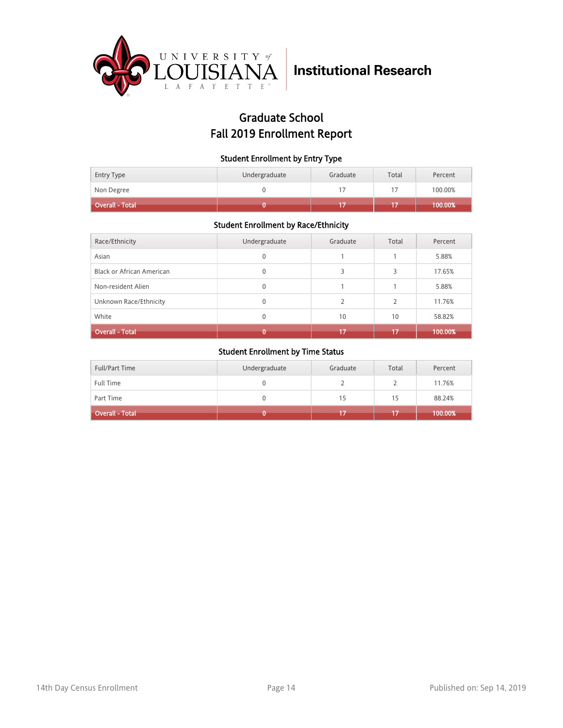

## Graduate School Fall 2019 Enrollment Report

### Student Enrollment by Entry Type

| <b>Entry Type</b>      | Undergraduate | Graduate | Total | Percent |
|------------------------|---------------|----------|-------|---------|
| Non Degree             |               |          |       | 100.00% |
| <b>Overall - Total</b> |               |          |       | 100.00% |

### Student Enrollment by Race/Ethnicity

| Race/Ethnicity                   | Undergraduate | Graduate | Total | Percent |
|----------------------------------|---------------|----------|-------|---------|
| Asian                            | 0             |          |       | 5.88%   |
| <b>Black or African American</b> | 0             | 3        |       | 17.65%  |
| Non-resident Alien               | $\mathbf{0}$  |          |       | 5.88%   |
| Unknown Race/Ethnicity           | 0             |          |       | 11.76%  |
| White                            | 0             | 10       | 10    | 58.82%  |
| <b>Overall - Total</b>           |               | 17       | 17    | 100.00% |

| Full/Part Time         | Undergraduate | Graduate | Total | Percent |
|------------------------|---------------|----------|-------|---------|
| <b>Full Time</b>       |               |          |       | 11.76%  |
| Part Time              |               | 15       | 15    | 88.24%  |
| <b>Overall - Total</b> |               |          |       | 100.00% |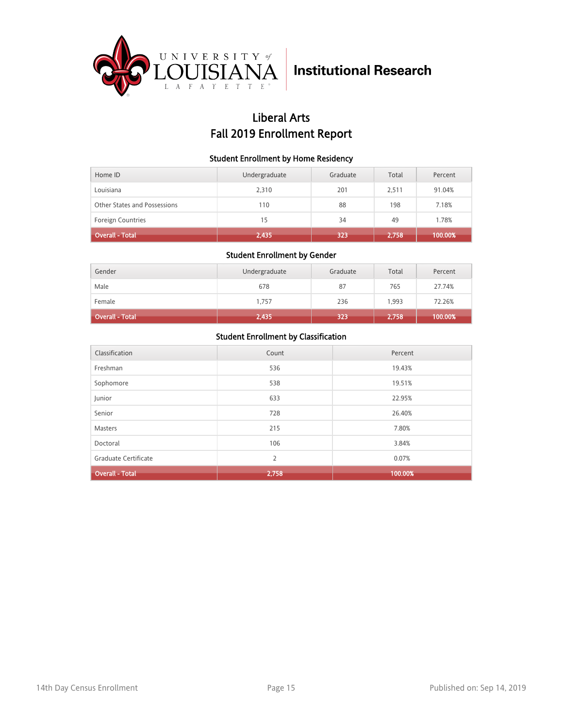

## Liberal Arts Fall 2019 Enrollment Report

### Student Enrollment by Home Residency

| Home ID                      | Undergraduate | Graduate | Total | Percent |
|------------------------------|---------------|----------|-------|---------|
| Louisiana                    | 2,310         | 201      | 2.511 | 91.04%  |
| Other States and Possessions | 110           | 88       | 198   | 7.18%   |
| <b>Foreign Countries</b>     | 15            | 34       | 49    | 1.78%   |
| <b>Overall - Total</b>       | 2,435         | 323      | 2,758 | 100.00% |

#### Student Enrollment by Gender

| Gender                 | Undergraduate | Graduate | Total | Percent |
|------------------------|---------------|----------|-------|---------|
| Male                   | 678           | 87       | 765   | 27.74%  |
| Female                 | 1,757         | 236      | 1,993 | 72.26%  |
| <b>Overall - Total</b> | 2,435         | 323      | 2,758 | 100.00% |

| Classification         | Count | Percent |
|------------------------|-------|---------|
| Freshman               | 536   | 19.43%  |
| Sophomore              | 538   | 19.51%  |
| Junior                 | 633   | 22.95%  |
| Senior                 | 728   | 26.40%  |
| <b>Masters</b>         | 215   | 7.80%   |
| Doctoral               | 106   | 3.84%   |
| Graduate Certificate   | 2     | 0.07%   |
| <b>Overall - Total</b> | 2,758 | 100.00% |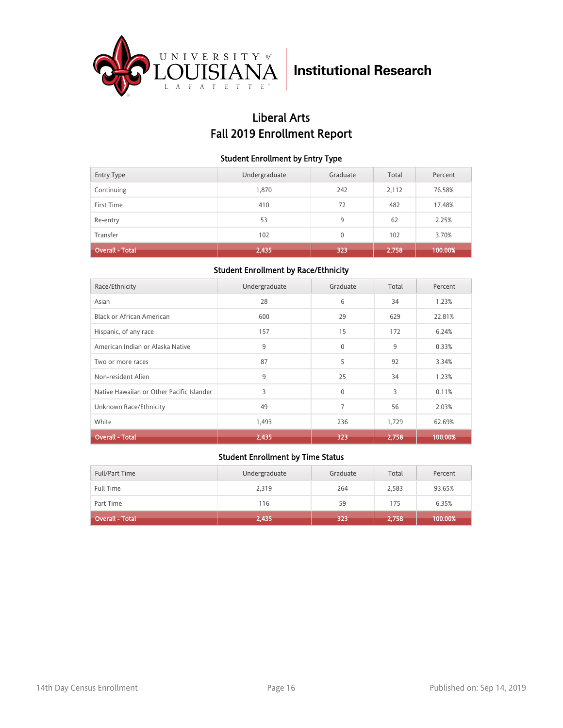

## Liberal Arts Fall 2019 Enrollment Report

### Student Enrollment by Entry Type

| <b>Entry Type</b>      | Undergraduate | Graduate | Total | Percent |
|------------------------|---------------|----------|-------|---------|
| Continuing             | 1,870         | 242      | 2,112 | 76.58%  |
| First Time             | 410           | 72       | 482   | 17.48%  |
| Re-entry               | 53            | 9        | 62    | 2.25%   |
| Transfer               | 102           | $\Omega$ | 102   | 3.70%   |
| <b>Overall - Total</b> | 2,435         | 323      | 2,758 | 100.00% |

### Student Enrollment by Race/Ethnicity

| Race/Ethnicity                            | Undergraduate | Graduate | Total | Percent |
|-------------------------------------------|---------------|----------|-------|---------|
| Asian                                     | 28            | 6        | 34    | 1.23%   |
| Black or African American                 | 600           | 29       | 629   | 22.81%  |
| Hispanic, of any race                     | 157           | 15       | 172   | 6.24%   |
| American Indian or Alaska Native          | 9             | $\Omega$ | 9     | 0.33%   |
| Two or more races                         | 87            | 5        | 92    | 3.34%   |
| Non-resident Alien                        | 9             | 25       | 34    | 1.23%   |
| Native Hawaiian or Other Pacific Islander | 3             | $\Omega$ | 3     | 0.11%   |
| Unknown Race/Ethnicity                    | 49            | 7        | 56    | 2.03%   |
| White                                     | 1,493         | 236      | 1,729 | 62.69%  |
| <b>Overall - Total</b>                    | 2,435         | 323      | 2,758 | 100.00% |

| Full/Part Time         | Undergraduate | Graduate | Total | Percent |
|------------------------|---------------|----------|-------|---------|
| <b>Full Time</b>       | 2,319         | 264      | 2,583 | 93.65%  |
| Part Time              | 116           | 59       | 175   | 6.35%   |
| <b>Overall - Total</b> | 2,435         | 323      | 2,758 | 100.00% |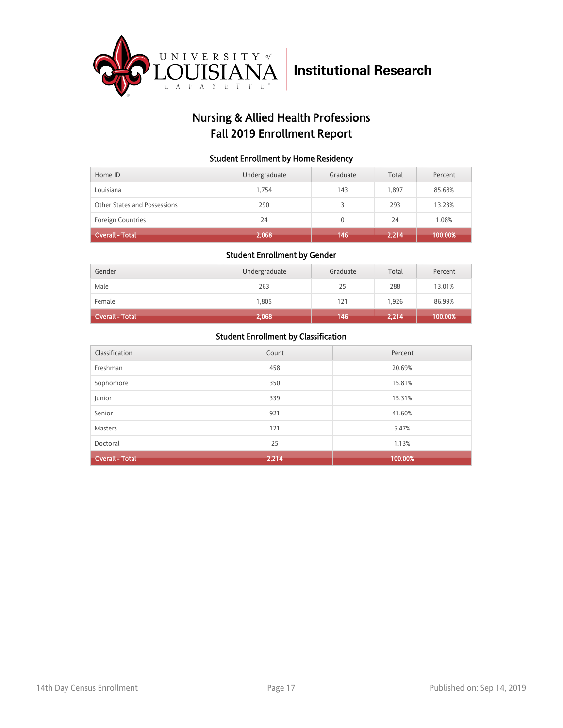

## Nursing & Allied Health Professions Fall 2019 Enrollment Report

### Student Enrollment by Home Residency

| Home ID                      | Undergraduate | Graduate     | Total | Percent |
|------------------------------|---------------|--------------|-------|---------|
| Louisiana                    | 1.754         | 143          | 1.897 | 85.68%  |
| Other States and Possessions | 290           |              | 293   | 13.23%  |
| <b>Foreign Countries</b>     | 24            | $\mathbf{0}$ | 24    | 1.08%   |
| <b>Overall - Total</b>       | 2,068         | 146          | 2,214 | 100.00% |

### Student Enrollment by Gender

| Gender                 | Undergraduate | Graduate | Total | Percent |
|------------------------|---------------|----------|-------|---------|
| Male                   | 263           | 25       | 288   | 13.01%  |
| Female                 | 1,805         | 121      | 1,926 | 86.99%  |
| <b>Overall - Total</b> | 2,068         | 146      | 2,214 | 100.00% |

| Classification         | Count | Percent |
|------------------------|-------|---------|
| Freshman               | 458   | 20.69%  |
| Sophomore              | 350   | 15.81%  |
| Junior                 | 339   | 15.31%  |
| Senior                 | 921   | 41.60%  |
| <b>Masters</b>         | 121   | 5.47%   |
| Doctoral               | 25    | 1.13%   |
| <b>Overall - Total</b> | 2,214 | 100.00% |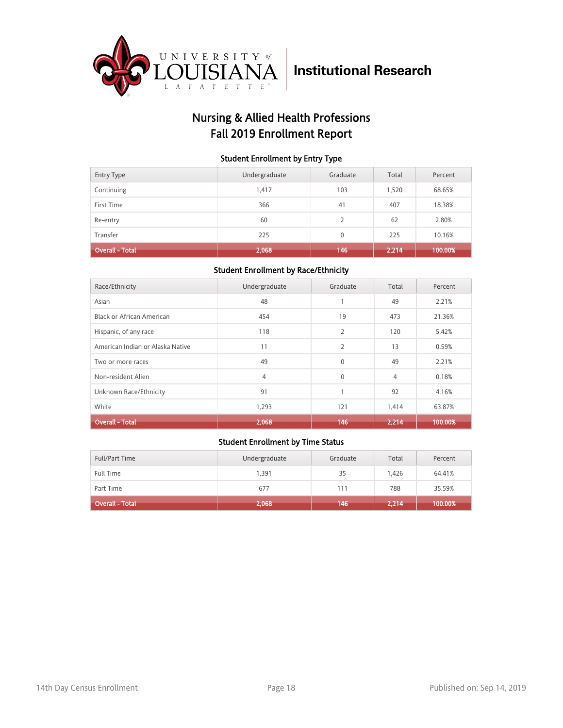

## Nursing & Allied Health Professions Fall 2019 Enrollment Report

### Student Enrollment by Entry Type

| <b>Entry Type</b>      | Undergraduate | Graduate     | Total | Percent |
|------------------------|---------------|--------------|-------|---------|
| Continuing             | 1,417         | 103          | 1,520 | 68.65%  |
| First Time             | 366           | 41           | 407   | 18.38%  |
| Re-entry               | 60            | 2            | 62    | 2.80%   |
| Transfer               | 225           | $\mathbf{0}$ | 225   | 10.16%  |
| <b>Overall - Total</b> | 2,068         | 146          | 2,214 | 100.00% |

### Student Enrollment by Race/Ethnicity

| Race/Ethnicity                   | Undergraduate | Graduate       | Total | Percent |
|----------------------------------|---------------|----------------|-------|---------|
| Asian                            | 48            | 1              | 49    | 2.21%   |
| <b>Black or African American</b> | 454           | 19             | 473   | 21.36%  |
| Hispanic, of any race            | 118           | $\overline{2}$ | 120   | 5.42%   |
| American Indian or Alaska Native | 11            | $\overline{2}$ | 13    | 0.59%   |
| Two or more races                | 49            | $\Omega$       | 49    | 2.21%   |
| Non-resident Alien               | 4             | $\Omega$       | 4     | 0.18%   |
| Unknown Race/Ethnicity           | 91            | 1              | 92    | 4.16%   |
| White                            | 1,293         | 121            | 1,414 | 63.87%  |
| <b>Overall - Total</b>           | 2,068         | 146            | 2.214 | 100.00% |

| Full/Part Time         | Undergraduate | Graduate | Total | Percent |
|------------------------|---------------|----------|-------|---------|
| Full Time              | 1.391         | 35       | 1,426 | 64.41%  |
| Part Time              | 677           | 111      | 788   | 35.59%  |
| <b>Overall - Total</b> | 2,068         | 146      | 2,214 | 100.00% |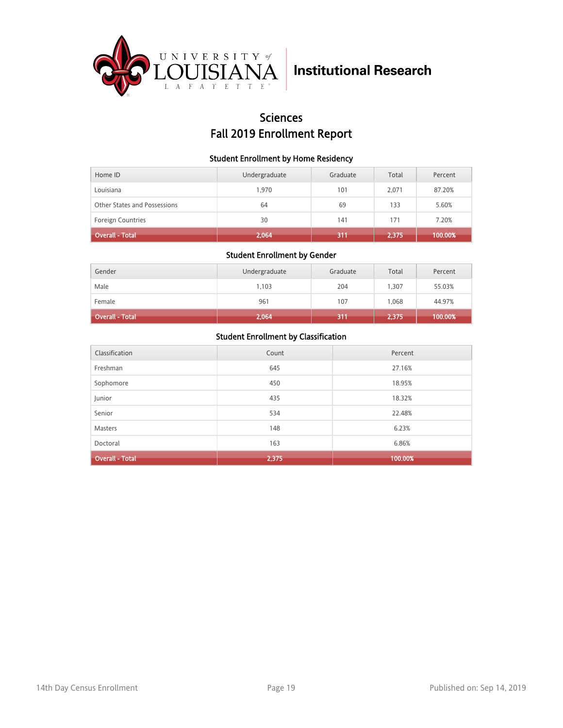

### **Sciences** Fall 2019 Enrollment Report

### Student Enrollment by Home Residency

| Home ID                      | Undergraduate | Graduate | Total | Percent |
|------------------------------|---------------|----------|-------|---------|
| Louisiana                    | 1.970         | 101      | 2.071 | 87.20%  |
| Other States and Possessions | 64            | 69       | 133   | 5.60%   |
| <b>Foreign Countries</b>     | 30            | 141      | 171   | 7.20%   |
| <b>Overall - Total</b>       | 2,064         | 311      | 2,375 | 100.00% |

#### Student Enrollment by Gender

| Gender                 | Undergraduate | Graduate | Total | Percent |
|------------------------|---------------|----------|-------|---------|
| Male                   | 1,103         | 204      | 1,307 | 55.03%  |
| Female                 | 961           | 107      | 1,068 | 44.97%  |
| <b>Overall - Total</b> | 2,064         | 311      | 2,375 | 100.00% |

| Classification         | Count | Percent |
|------------------------|-------|---------|
| Freshman               | 645   | 27.16%  |
| Sophomore              | 450   | 18.95%  |
| Junior                 | 435   | 18.32%  |
| Senior                 | 534   | 22.48%  |
| <b>Masters</b>         | 148   | 6.23%   |
| Doctoral               | 163   | 6.86%   |
| <b>Overall - Total</b> | 2,375 | 100.00% |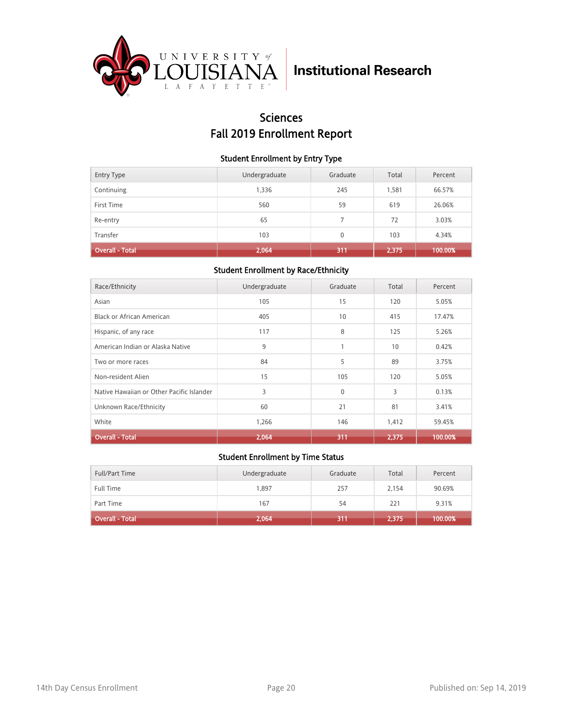

## Sciences Fall 2019 Enrollment Report

### Student Enrollment by Entry Type

| <b>Entry Type</b>      | Undergraduate | Graduate | Total | Percent |
|------------------------|---------------|----------|-------|---------|
| Continuing             | 1,336         | 245      | 1,581 | 66.57%  |
| First Time             | 560           | 59       | 619   | 26.06%  |
| Re-entry               | 65            |          | 72    | 3.03%   |
| Transfer               | 103           | $\Omega$ | 103   | 4.34%   |
| <b>Overall - Total</b> | 2,064         | 311      | 2,375 | 100.00% |

### Student Enrollment by Race/Ethnicity

| Race/Ethnicity                            | Undergraduate | Graduate     | Total | Percent |
|-------------------------------------------|---------------|--------------|-------|---------|
| Asian                                     | 105           | 15           | 120   | 5.05%   |
| Black or African American                 | 405           | 10           | 415   | 17.47%  |
| Hispanic, of any race                     | 117           | 8            | 125   | 5.26%   |
| American Indian or Alaska Native          | 9             | 1            | 10    | 0.42%   |
| Two or more races                         | 84            | 5            | 89    | 3.75%   |
| Non-resident Alien                        | 15            | 105          | 120   | 5.05%   |
| Native Hawaiian or Other Pacific Islander | 3             | $\mathbf{0}$ | 3     | 0.13%   |
| Unknown Race/Ethnicity                    | 60            | 21           | 81    | 3.41%   |
| White                                     | 1,266         | 146          | 1,412 | 59.45%  |
| <b>Overall - Total</b>                    | 2,064         | 311          | 2,375 | 100.00% |

| Full/Part Time         | Undergraduate | Graduate | Total | Percent |
|------------------------|---------------|----------|-------|---------|
| <b>Full Time</b>       | 1,897         | 257      | 2,154 | 90.69%  |
| Part Time              | 167           | 54       | 221   | 9.31%   |
| <b>Overall - Total</b> | 2,064         | 311      | 2,375 | 100.00% |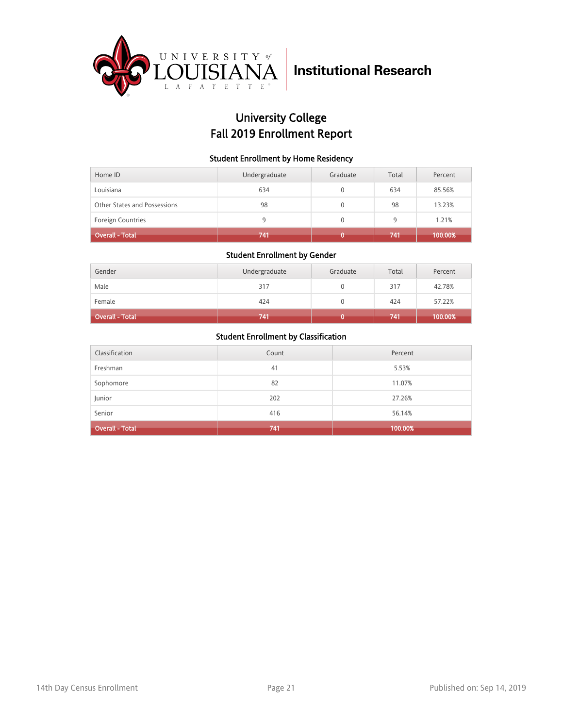

## University College Fall 2019 Enrollment Report

### Student Enrollment by Home Residency

| Home ID                      | Undergraduate | Graduate | Total | Percent |
|------------------------------|---------------|----------|-------|---------|
| Louisiana                    | 634           | 0        | 634   | 85.56%  |
| Other States and Possessions | 98            | 0        | 98    | 13.23%  |
| <b>Foreign Countries</b>     | 9             |          | 9     | 1.21%   |
| <b>Overall - Total</b>       | 741           |          | 741   | 100.00% |

### Student Enrollment by Gender

| Gender                 | Undergraduate | Graduate | Total | Percent |
|------------------------|---------------|----------|-------|---------|
| Male                   | 317           |          | 317   | 42.78%  |
| Female                 | 424           |          | 424   | 57.22%  |
| <b>Overall - Total</b> | 741           |          | 741   | 100.00% |

| Classification         | Count | Percent |
|------------------------|-------|---------|
| Freshman               | 41    | 5.53%   |
| Sophomore              | 82    | 11.07%  |
| Junior                 | 202   | 27.26%  |
| Senior                 | 416   | 56.14%  |
| <b>Overall - Total</b> | 741   | 100.00% |